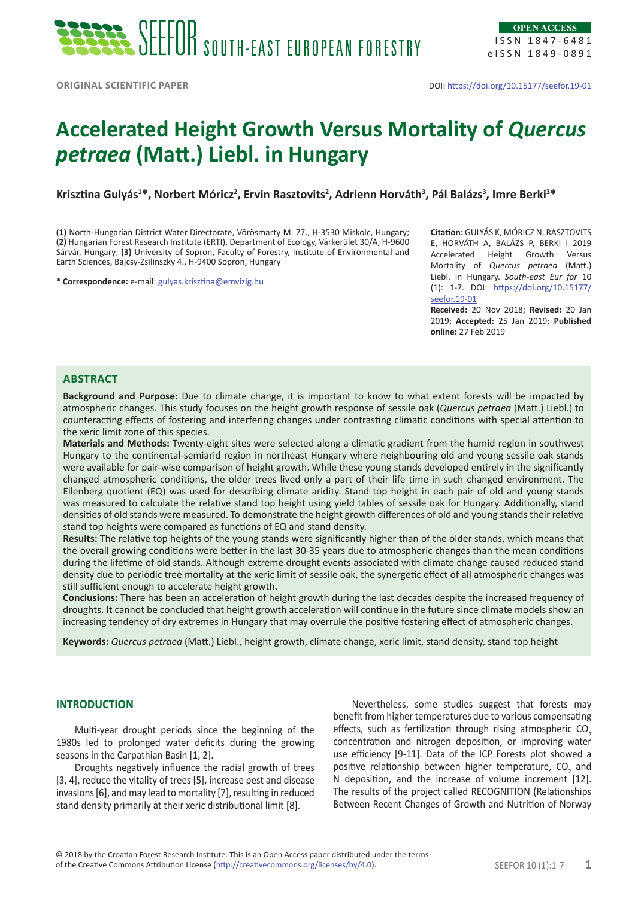# **Accelerated Height Growth Versus Mortality of** *Quercus petraea* **(Matt.) Liebl. in Hungary**

**Krisztina Gulyás<sup>1</sup> \*, Norbert Móricz<sup>2</sup> , Ervin Rasztovits<sup>2</sup> , Adrienn Horváth<sup>3</sup> , Pál Balázs<sup>3</sup> , Imre Berki3 \***

**(1)** North-Hungarian District Water Directorate, Vörösmarty M. 77., H-3530 Miskolc, Hungary; **(2)** Hungarian Forest Research Institute (ERTI), Department of Ecology, Várkerület 30/A, H-9600 Sárvár, Hungary; **(3)** University of Sopron, Faculty of Forestry, Institute of Environmental and Earth Sciences, Bajcsy-Zsilinszky 4., H-9400 Sopron, Hungary

\* **Correspondence:** e-mail: [gulyas.krisztina@emvizig.hu](mailto:gulyas.krisztina@emvizig.hu)

**Citation:** GULYÁS K, MÓRICZ N, RASZTOVITS E, HORVÁTH A, BALÁZS P, BERKI I 2019 Accelerated Height Growth Versus Mortality of *Quercus petraea* (Matt.) Liebl. in Hungary. *South-east Eur for* 10 (1): 1-7. DOI: [https://doi.org/10.15177/](https://doi.org/10.15177/seefor.19-01) [seefor.19-01](https://doi.org/10.15177/seefor.19-01)

**Received:** 20 Nov 2018; **Revised:** 20 Jan 2019; **Accepted:** 25 Jan 2019; **Published online:** 27 Feb 2019

# **Abstract**

**Background and Purpose:** Due to climate change, it is important to know to what extent forests will be impacted by atmospheric changes. This study focuses on the height growth response of sessile oak (*Quercus petraea* (Matt.) Liebl.) to counteracting effects of fostering and interfering changes under contrasting climatic conditions with special attention to the xeric limit zone of this species.

**Materials and Methods:** Twenty-eight sites were selected along a climatic gradient from the humid region in southwest Hungary to the continental-semiarid region in northeast Hungary where neighbouring old and young sessile oak stands were available for pair-wise comparison of height growth. While these young stands developed entirely in the significantly changed atmospheric conditions, the older trees lived only a part of their life time in such changed environment. The Ellenberg quotient (EQ) was used for describing climate aridity. Stand top height in each pair of old and young stands was measured to calculate the relative stand top height using yield tables of sessile oak for Hungary. Additionally, stand densities of old stands were measured. To demonstrate the height growth differences of old and young stands their relative stand top heights were compared as functions of EQ and stand density.

**Results:** The relative top heights of the young stands were significantly higher than of the older stands, which means that the overall growing conditions were better in the last 30-35 years due to atmospheric changes than the mean conditions during the lifetime of old stands. Although extreme drought events associated with climate change caused reduced stand density due to periodic tree mortality at the xeric limit of sessile oak, the synergetic effect of all atmospheric changes was still sufficient enough to accelerate height growth.

**Conclusions:** There has been an acceleration of height growth during the last decades despite the increased frequency of droughts. It cannot be concluded that height growth acceleration will continue in the future since climate models show an increasing tendency of dry extremes in Hungary that may overrule the positive fostering effect of atmospheric changes.

**Keywords:** *Quercus petraea* (Matt.) Liebl., height growth, climate change, xeric limit, stand density, stand top height

## **INTRODUCTION**

Multi-year drought periods since the beginning of the 1980s led to prolonged water deficits during the growing seasons in the Carpathian Basin [1, 2].

Droughts negatively influence the radial growth of trees [3, 4], reduce the vitality of trees [5], increase pest and disease invasions [6], and may lead to mortality [7], resulting in reduced stand density primarily at their xeric distributional limit [8].

Nevertheless, some studies suggest that forests may benefit from higher temperatures due to various compensating effects, such as fertilization through rising atmospheric CO<sub>2</sub> concentration and nitrogen deposition, or improving water use efficiency [9-11]. Data of the ICP Forests plot showed a positive relationship between higher temperature,  $CO_2$  and N deposition, and the increase of volume increment [12]. The results of the project called RECOGNITION (Relationships Between Recent Changes of Growth and Nutrition of Norway

of the Creative Commons Attribution License (<http://creativecommons.org/licenses/by/4.0>). SEEFOR 10 (1):1-7 1 © 2018 by the Croatian Forest Research Institute. This is an Open Access paper distributed under the terms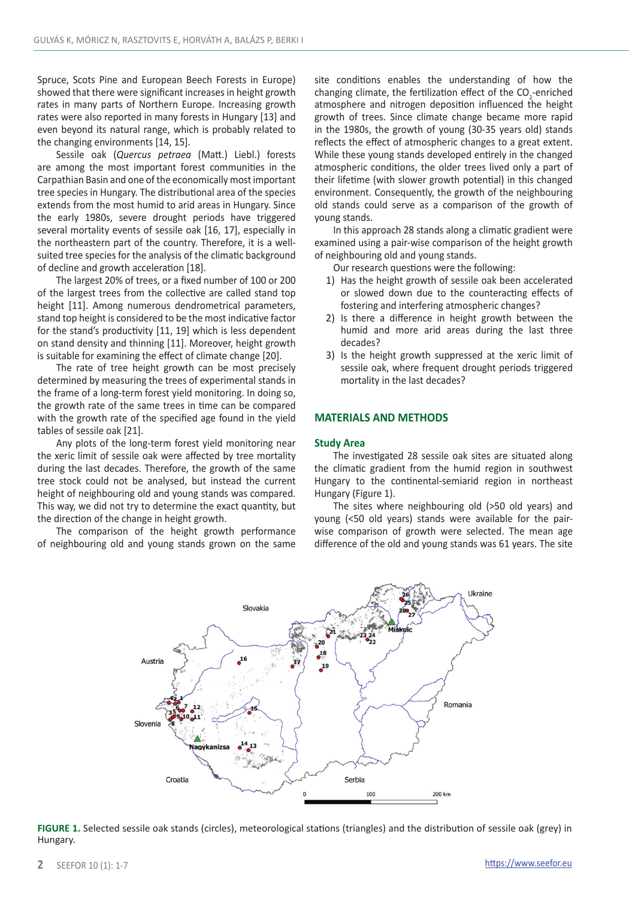Spruce, Scots Pine and European Beech Forests in Europe) showed that there were significant increases in height growth rates in many parts of Northern Europe. Increasing growth rates were also reported in many forests in Hungary [13] and even beyond its natural range, which is probably related to the changing environments [14, 15].

Sessile oak (*Quercus petraea* (Matt.) Liebl.) forests are among the most important forest communities in the Carpathian Basin and one of the economically most important tree species in Hungary. The distributional area of the species extends from the most humid to arid areas in Hungary. Since the early 1980s, severe drought periods have triggered several mortality events of sessile oak [16, 17], especially in the northeastern part of the country. Therefore, it is a wellsuited tree species for the analysis of the climatic background of decline and growth acceleration [18].

The largest 20% of trees, or a fixed number of 100 or 200 of the largest trees from the collective are called stand top height [11]. Among numerous dendrometrical parameters, stand top height is considered to be the most indicative factor for the stand's productivity [11, 19] which is less dependent on stand density and thinning [11]. Moreover, height growth is suitable for examining the effect of climate change [20].

The rate of tree height growth can be most precisely determined by measuring the trees of experimental stands in the frame of a long-term forest yield monitoring. In doing so, the growth rate of the same trees in time can be compared with the growth rate of the specified age found in the yield tables of sessile oak [21].

Any plots of the long-term forest yield monitoring near the xeric limit of sessile oak were affected by tree mortality during the last decades. Therefore, the growth of the same tree stock could not be analysed, but instead the current height of neighbouring old and young stands was compared. This way, we did not try to determine the exact quantity, but the direction of the change in height growth.

The comparison of the height growth performance of neighbouring old and young stands grown on the same site conditions enables the understanding of how the changing climate, the fertilization effect of the  $CO_2$ -enriched atmosphere and nitrogen deposition influenced the height growth of trees. Since climate change became more rapid in the 1980s, the growth of young (30-35 years old) stands reflects the effect of atmospheric changes to a great extent. While these young stands developed entirely in the changed atmospheric conditions, the older trees lived only a part of their lifetime (with slower growth potential) in this changed environment. Consequently, the growth of the neighbouring old stands could serve as a comparison of the growth of young stands.

In this approach 28 stands along a climatic gradient were examined using a pair-wise comparison of the height growth of neighbouring old and young stands.

Our research questions were the following:

- 1) Has the height growth of sessile oak been accelerated or slowed down due to the counteracting effects of fostering and interfering atmospheric changes?
- 2) Is there a difference in height growth between the humid and more arid areas during the last three decades?
- 3) Is the height growth suppressed at the xeric limit of sessile oak, where frequent drought periods triggered mortality in the last decades?

## **MATERIALS AND METHODS**

#### **Study Area**

The investigated 28 sessile oak sites are situated along the climatic gradient from the humid region in southwest Hungary to the continental-semiarid region in northeast Hungary (Figure 1).

The sites where neighbouring old (>50 old years) and young (<50 old years) stands were available for the pairwise comparison of growth were selected. The mean age difference of the old and young stands was 61 years. The site



**FIGURE 1.** Selected sessile oak stands (circles), meteorological stations (triangles) and the distribution of sessile oak (grey) in Hungary.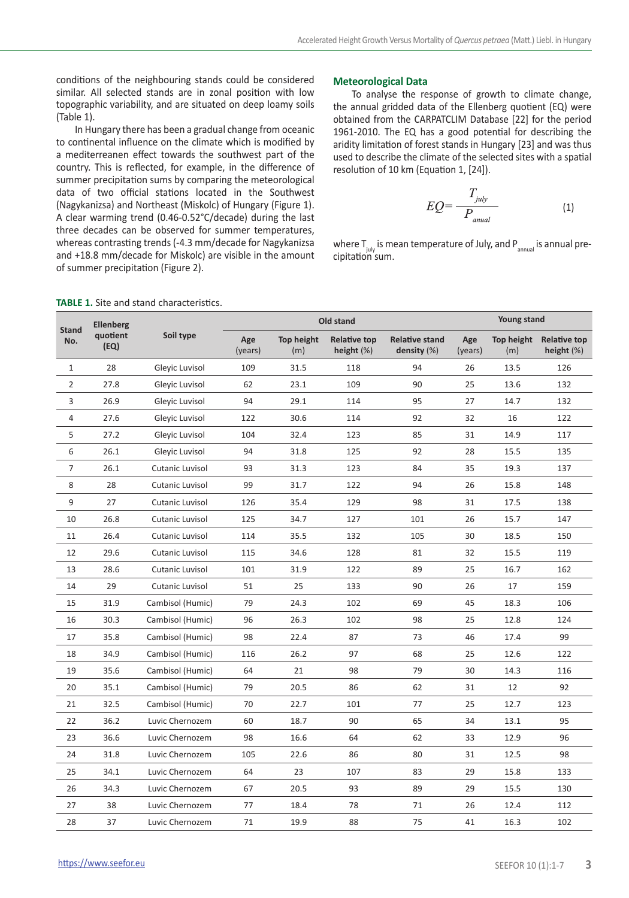conditions of the neighbouring stands could be considered similar. All selected stands are in zonal position with low topographic variability, and are situated on deep loamy soils (Table 1).

In Hungary there has been a gradual change from oceanic to continental influence on the climate which is modified by a mediterreanen effect towards the southwest part of the country. This is reflected, for example, in the difference of summer precipitation sums by comparing the meteorological data of two official stations located in the Southwest (Nagykanizsa) and Northeast (Miskolc) of Hungary (Figure 1). A clear warming trend (0.46-0.52°C/decade) during the last three decades can be observed for summer temperatures, whereas contrasting trends (-4.3 mm/decade for Nagykanizsa and +18.8 mm/decade for Miskolc) are visible in the amount of summer precipitation (Figure 2).

## **Meteorological Data**

To analyse the response of growth to climate change, the annual gridded data of the Ellenberg quotient (EQ) were obtained from the CARPATCLIM Database [22] for the period 1961-2010. The EQ has a good potential for describing the aridity limitation of forest stands in Hungary [23] and was thus used to describe the climate of the selected sites with a spatial resolution of 10 km (Equation 1, [24]).

$$
EQ = \frac{T_{july}}{P_{anual}} \tag{1}
$$

where  $T_{\text{iniv}}$  is mean temperature of July, and  $P_{\text{annual}}$  is annual precipitation sum.

| <b>Stand</b><br>No. | <b>Ellenberg</b><br>quotient<br>(EQ) | Soil type        | Old stand      |                   |                                      |                                      | Young stand    |                   |                                      |
|---------------------|--------------------------------------|------------------|----------------|-------------------|--------------------------------------|--------------------------------------|----------------|-------------------|--------------------------------------|
|                     |                                      |                  | Age<br>(years) | Top height<br>(m) | <b>Relative top</b><br>height $(\%)$ | <b>Relative stand</b><br>density (%) | Age<br>(years) | Top height<br>(m) | <b>Relative top</b><br>height $(\%)$ |
| $\mathbf{1}$        | 28                                   | Gleyic Luvisol   | 109            | 31.5              | 118                                  | 94                                   | 26             | 13.5              | 126                                  |
| $\overline{2}$      | 27.8                                 | Gleyic Luvisol   | 62             | 23.1              | 109                                  | 90                                   | 25             | 13.6              | 132                                  |
| 3                   | 26.9                                 | Glevic Luvisol   | 94             | 29.1              | 114                                  | 95                                   | 27             | 14.7              | 132                                  |
| 4                   | 27.6                                 | Glevic Luvisol   | 122            | 30.6              | 114                                  | 92                                   | 32             | 16                | 122                                  |
| 5                   | 27.2                                 | Glevic Luvisol   | 104            | 32.4              | 123                                  | 85                                   | 31             | 14.9              | 117                                  |
| 6                   | 26.1                                 | Glevic Luvisol   | 94             | 31.8              | 125                                  | 92                                   | 28             | 15.5              | 135                                  |
| $\overline{7}$      | 26.1                                 | Cutanic Luvisol  | 93             | 31.3              | 123                                  | 84                                   | 35             | 19.3              | 137                                  |
| 8                   | 28                                   | Cutanic Luvisol  | 99             | 31.7              | 122                                  | 94                                   | 26             | 15.8              | 148                                  |
| 9                   | 27                                   | Cutanic Luvisol  | 126            | 35.4              | 129                                  | 98                                   | 31             | 17.5              | 138                                  |
| 10                  | 26.8                                 | Cutanic Luvisol  | 125            | 34.7              | 127                                  | 101                                  | 26             | 15.7              | 147                                  |
| 11                  | 26.4                                 | Cutanic Luvisol  | 114            | 35.5              | 132                                  | 105                                  | 30             | 18.5              | 150                                  |
| 12                  | 29.6                                 | Cutanic Luvisol  | 115            | 34.6              | 128                                  | 81                                   | 32             | 15.5              | 119                                  |
| 13                  | 28.6                                 | Cutanic Luvisol  | 101            | 31.9              | 122                                  | 89                                   | 25             | 16.7              | 162                                  |
| 14                  | 29                                   | Cutanic Luvisol  | 51             | 25                | 133                                  | 90                                   | 26             | 17                | 159                                  |
| 15                  | 31.9                                 | Cambisol (Humic) | 79             | 24.3              | 102                                  | 69                                   | 45             | 18.3              | 106                                  |
| 16                  | 30.3                                 | Cambisol (Humic) | 96             | 26.3              | 102                                  | 98                                   | 25             | 12.8              | 124                                  |
| 17                  | 35.8                                 | Cambisol (Humic) | 98             | 22.4              | 87                                   | 73                                   | 46             | 17.4              | 99                                   |
| 18                  | 34.9                                 | Cambisol (Humic) | 116            | 26.2              | 97                                   | 68                                   | 25             | 12.6              | 122                                  |
| 19                  | 35.6                                 | Cambisol (Humic) | 64             | 21                | 98                                   | 79                                   | 30             | 14.3              | 116                                  |
| 20                  | 35.1                                 | Cambisol (Humic) | 79             | 20.5              | 86                                   | 62                                   | 31             | 12                | 92                                   |
| 21                  | 32.5                                 | Cambisol (Humic) | 70             | 22.7              | 101                                  | 77                                   | 25             | 12.7              | 123                                  |
| 22                  | 36.2                                 | Luvic Chernozem  | 60             | 18.7              | 90                                   | 65                                   | 34             | 13.1              | 95                                   |
| 23                  | 36.6                                 | Luvic Chernozem  | 98             | 16.6              | 64                                   | 62                                   | 33             | 12.9              | 96                                   |
| 24                  | 31.8                                 | Luvic Chernozem  | 105            | 22.6              | 86                                   | 80                                   | 31             | 12.5              | 98                                   |
| 25                  | 34.1                                 | Luvic Chernozem  | 64             | 23                | 107                                  | 83                                   | 29             | 15.8              | 133                                  |
| 26                  | 34.3                                 | Luvic Chernozem  | 67             | 20.5              | 93                                   | 89                                   | 29             | 15.5              | 130                                  |
| 27                  | 38                                   | Luvic Chernozem  | 77             | 18.4              | 78                                   | 71                                   | 26             | 12.4              | 112                                  |
| 28                  | 37                                   | Luvic Chernozem  | 71             | 19.9              | 88                                   | 75                                   | 41             | 16.3              | 102                                  |

#### **TABLE 1.** Site and stand characteristics.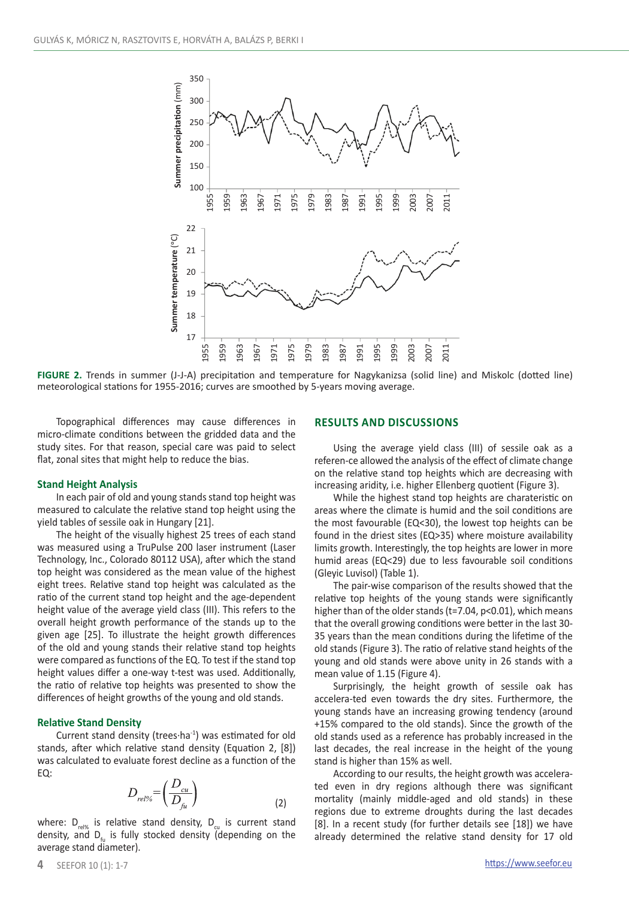

**FIGURE 2.** Trends in summer (J-J-A) precipitation and temperature for Nagykanizsa (solid line) and Miskolc (dotted line) meteorological stations for 1955-2016; curves are smoothed by 5-years moving average.

Topographical differences may cause differences in micro-climate conditions between the gridded data and the study sites. For that reason, special care was paid to select flat, zonal sites that might help to reduce the bias.

## **Stand Height Analysis**

In each pair of old and young stands stand top height was measured to calculate the relative stand top height using the yield tables of sessile oak in Hungary [21].

The height of the visually highest 25 trees of each stand was measured using a TruPulse 200 laser instrument (Laser Technology, Inc., Colorado 80112 USA), after which the stand top height was considered as the mean value of the highest eight trees. Relative stand top height was calculated as the ratio of the current stand top height and the age-dependent height value of the average yield class (III). This refers to the overall height growth performance of the stands up to the given age [25]. To illustrate the height growth differences of the old and young stands their relative stand top heights were compared as functions of the EQ. To test if the stand top height values differ a one-way t-test was used. Additionally, the ratio of relative top heights was presented to show the differences of height growths of the young and old stands.

## **Relative Stand Density**

Current stand density (trees·ha<sup>-1</sup>) was estimated for old stands, after which relative stand density (Equation 2, [8]) was calculated to evaluate forest decline as a function of the EQ:

$$
D_{rel\%} = \left(\frac{D_{cu}}{D_{fu}}\right) \tag{2}
$$

where:  $D_{rel}$  is relative stand density,  $D_{rel}$  is current stand density, and  $D_{f_{1}}$  is fully stocked density (depending on the average stand diameter).

## **Results and discussions**

Using the average yield class (III) of sessile oak as a referen-ce allowed the analysis of the effect of climate change on the relative stand top heights which are decreasing with increasing aridity, i.e. higher Ellenberg quotient (Figure 3).

While the highest stand top heights are charateristic on areas where the climate is humid and the soil conditions are the most favourable (EQ<30), the lowest top heights can be found in the driest sites (EQ>35) where moisture availability limits growth. Interestingly, the top heights are lower in more humid areas (EQ<29) due to less favourable soil conditions (Gleyic Luvisol) (Table 1).

The pair-wise comparison of the results showed that the relative top heights of the young stands were significantly higher than of the older stands (t=7.04, p<0.01), which means that the overall growing conditions were better in the last 30- 35 years than the mean conditions during the lifetime of the old stands (Figure 3). The ratio of relative stand heights of the young and old stands were above unity in 26 stands with a mean value of 1.15 (Figure 4).

Surprisingly, the height growth of sessile oak has accelera-ted even towards the dry sites. Furthermore, the young stands have an increasing growing tendency (around +15% compared to the old stands). Since the growth of the old stands used as a reference has probably increased in the last decades, the real increase in the height of the young stand is higher than 15% as well.

According to our results, the height growth was accelerated even in dry regions although there was significant mortality (mainly middle-aged and old stands) in these regions due to extreme droughts during the last decades [8]. In a recent study (for further details see [18]) we have already determined the relative stand density for 17 old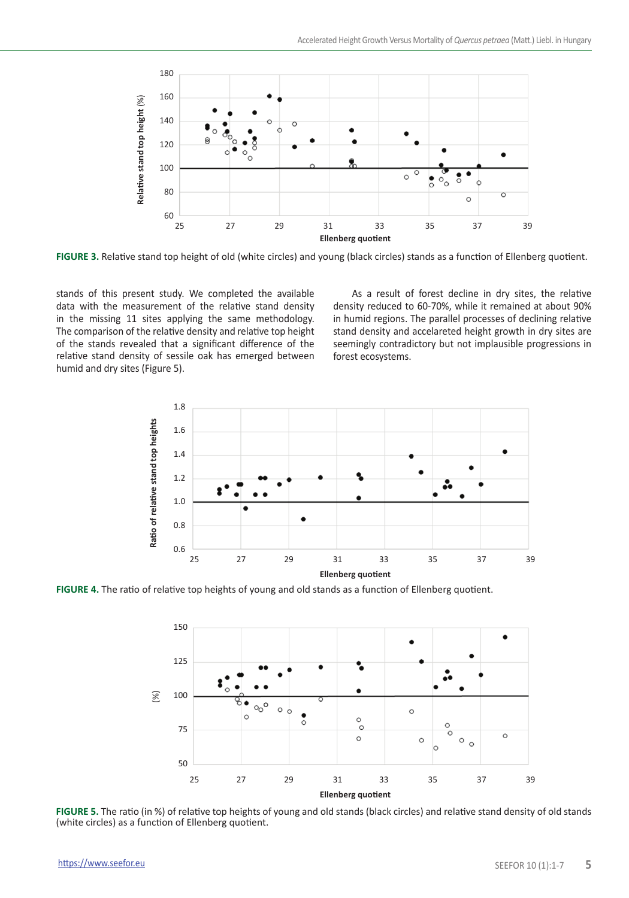

**FIGURE 3.** Relative stand top height of old (white circles) and young (black circles) stands as a function of Ellenberg quotient.

stands of this present study. We completed the available data with the measurement of the relative stand density in the missing 11 sites applying the same methodology. The comparison of the relative density and relative top height of the stands revealed that a significant difference of the relative stand density of sessile oak has emerged between humid and dry sites (Figure 5).

As a result of forest decline in dry sites, the relative density reduced to 60-70%, while it remained at about 90% in humid regions. The parallel processes of declining relative stand density and accelareted height growth in dry sites are seemingly contradictory but not implausible progressions in forest ecosystems.



**FIGURE 4.** The ratio of relative top heights of young and old stands as a function of Ellenberg quotient.



**FIGURE 5.** The ratio (in %) of relative top heights of young and old stands (black circles) and relative stand density of old stands (white circles) as a function of Ellenberg quotient.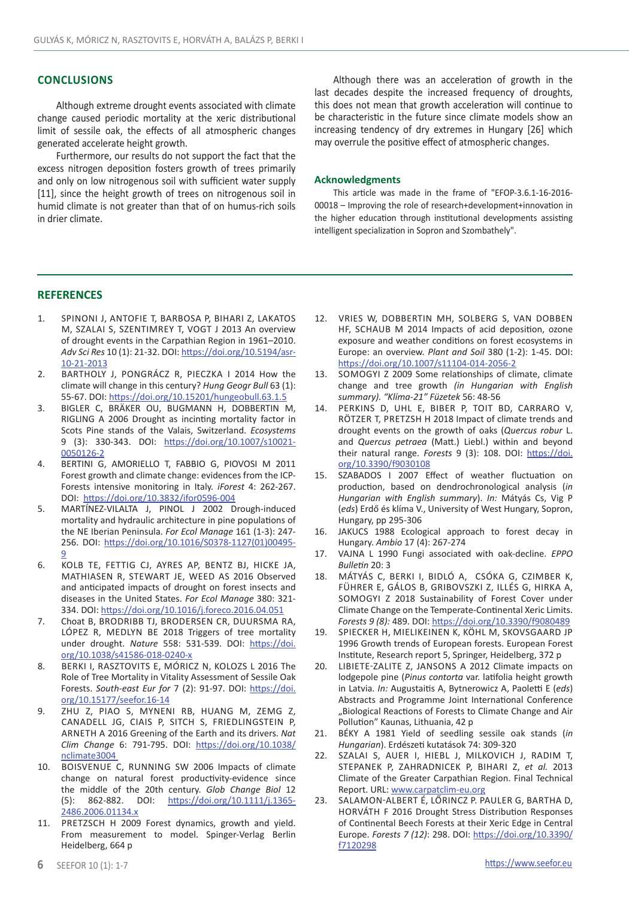## **Conclusions**

Although extreme drought events associated with climate change caused periodic mortality at the xeric distributional limit of sessile oak, the effects of all atmospheric changes generated accelerate height growth.

Furthermore, our results do not support the fact that the excess nitrogen deposition fosters growth of trees primarily and only on low nitrogenous soil with sufficient water supply [11], since the height growth of trees on nitrogenous soil in humid climate is not greater than that of on humus-rich soils in drier climate.

Although there was an acceleration of growth in the last decades despite the increased frequency of droughts, this does not mean that growth acceleration will continue to be characteristic in the future since climate models show an increasing tendency of dry extremes in Hungary [26] which may overrule the positive effect of atmospheric changes.

#### **Acknowledgments**

This article was made in the frame of "EFOP-3.6.1-16-2016- 00018 – Improving the role of research+development+innovation in the higher education through institutional developments assisting intelligent specialization in Sopron and Szombathely".

## **REFERENCES**

- 1. Spinoni J, Antofie T, Barbosa P, Bihari Z, Lakatos M, Szalai S, Szentimrey T, Vogt J 2013 An overview of drought events in the Carpathian Region in 1961–2010. *Adv Sci Res* 10 (1): 21-32. DOI: [https://doi.org/10.5194/asr-](https://doi.org/10.5194/asr-10-21-2013)[10-21-2013](https://doi.org/10.5194/asr-10-21-2013)
- 2. Bartholy J, Pongrácz R, Pieczka I 2014 How the climate will change in this century? *Hung Geogr Bull* 63 (1): 55-67. DOI: <https://doi.org/10.15201/hungeobull.63.1.5>
- 3. BIGLER C, BRÄKER OU, BUGMANN H, DOBBERTIN M, RIGLING A 2006 Drought as incinting mortality factor in Scots Pine stands of the Valais, Switzerland. *Ecosystems* 9 (3): 330-343. DOI: [https://doi.org/10.1007/s10021-](https://doi.org/10.1007/s10021-0050126-2) [0050126-2](https://doi.org/10.1007/s10021-0050126-2)
- 4. BERTINI G, AMORIELLO T, FABBIO G, PIOVOSI M 2011 Forest growth and climate change: evidences from the ICP-Forests intensive monitoring in Italy. *iForest* 4: 262-267. DOI: <https://doi.org/10.3832/ifor0596-004>
- 5. MARTÍNEZ-VILALTA J, PINOL J 2002 Drough-induced mortality and hydraulic architecture in pine populations of the NE Iberian Peninsula. *For Ecol Manage* 161 (1-3): 247- 256. DOI: [https://doi.org/10.1016/S0378-1127\(01\)00495-](https://doi.org/10.1016/S0378-1127(01)00495-9) [9](https://doi.org/10.1016/S0378-1127(01)00495-9)
- 6. Kolb TE, Fettig CJ, Ayres AP, Bentz BJ, Hicke JA, Mathiasen R, Stewart JE, Weed AS 2016 Observed and anticipated impacts of drought on forest insects and diseases in the United States. *For Ecol Manage* [380:](https://www.sciencedirect.com/science/journal/03781127/380/supp/C) 321- 334. DOI: <https://doi.org/10.1016/j.foreco.2016.04.051>
- 7. [Choat](https://www.nature.com/articles/s41586-018-0240-x#auth-1) B, [Brodribb](https://www.nature.com/articles/s41586-018-0240-x#auth-2) TJ, [Brodersen](https://www.nature.com/articles/s41586-018-0240-x#auth-3) CR, [Duursma](https://www.nature.com/articles/s41586-018-0240-x#auth-4) RA, LÓPEZ R, MEDLYN BE 2018 Triggers of tree mortality under drought. *Nature* 558: 531-539. DOI: [https://doi.](https://doi.org/10.1038/s41586-018-0240-x) [org/10.1038/s41586-018-0240-x](https://doi.org/10.1038/s41586-018-0240-x)
- 8. Berki I, Rasztovits E, Móricz N, Kolozs L 2016 The Role of Tree Mortality in Vitality Assessment of Sessile Oak Forests. *South-east Eur for* 7 (2): 91-97. DOI: [https://doi.](https://doi.org/10.15177/seefor.16-14) [org/10.15177/seefor.16-14](https://doi.org/10.15177/seefor.16-14)
- 9. Zhu Z, Piao S, Myneni RB, Huang M, Zemg Z, Canadell JG, Ciais P, Sitch S, Friedlingstein P, Arneth A 2016 Greening of the Earth and its drivers. *Nat Clim Change* 6: 791-795. DOI: [https://doi.org/10.1038/](https://doi.org/10.1038/nclimate3004) [nclimate3004](https://doi.org/10.1038/nclimate3004)
- 10. Boisvenue C, Running SW 2006 Impacts of climate change on natural forest productivity-evidence since the middle of the 20th century. *Glob Change Biol* 12 (5): 862-882. DOI: [https://doi.org/10.1111/j.1365-](https://doi.org/10.1111/j.1365-2486.2006.01134.x) [2486.2006.01134.x](https://doi.org/10.1111/j.1365-2486.2006.01134.x)
- 11. PRETZSCH H 2009 Forest dynamics, growth and yield. From measurement to model. Spinger-Verlag Berlin Heidelberg, 664 p
- 12. Vries W, Dobbertin MH, Solberg S, van Dobben HF, SCHAUB M 2014 Impacts of acid deposition, ozone exposure and weather conditions on forest ecosystems in Europe: an overview. *Plant and Soil* 380 (1-2): 1-45. DOI: https://doi.org/10.1007/s11104-014-2056-2
- 13. Somogyi Z 2009 Some relationships of climate, climate change and tree growth *(in Hungarian with English summary). "Klíma-21" Füzetek* 56: 48-56
- 14. Perkins D, Uhl E, Biber P, Toit BD, Carraro V, RÖTZER T, PRETZSH H 2018 Impact of climate trends and drought events on the growth of oaks (*Quercus robur* L. and *Quercus petraea* (Matt.) Liebl.) within and beyond their natural range. *Forests* 9 (3): 108. DOI: [https://doi.](https://doi.org/10.3390/f9030108) [org/10.3390/f9030108](https://doi.org/10.3390/f9030108)
- 15. SZABADOS I 2007 Effect of weather fluctuation on production, based on dendrochronological analysis (*in Hungarian with English summary*). *In:* Mátyás Cs, Vig P (*eds*) Erdő és klíma V., University of West Hungary, Sopron, Hungary, pp 295-306
- 16. JAKUCS 1988 Ecological approach to forest decay in Hungary. *Ambio* 17 (4): 267-274
- 17. VAJNA L 1990 Fungi associated with oak-decline. *EPPO Bulletin* 20: 3
- 18. Mátyás C, Berki I, Bidló A, Csóka G, Czimber K, Führer E, Gálos B, Gribovszki Z, Illés G, Hirka A, Somogyi Z 2018 Sustainability of Forest Cover under Climate Change on the Temperate-Continental Xeric Limits. *Forests 9 (8):* 489. DOI:<https://doi.org/10.3390/f9080489>
- 19. Spiecker H, Mielikeinen k, Köhl M, Skovsgaard JP 1996 Growth trends of European forests. European Forest Institute, Research report 5, Springer, Heidelberg, 372 p
- 20. LIBIETE-ZALITE Z, JANSONS A 2012 Climate impacts on lodgepole pine (*Pinus contorta* var. latifolia height growth in Latvia. *In:* Augustaitis A, Bytnerowicz A, Paoletti E (*eds*) Abstracts and Programme Joint International Conference "Biological Reactions of Forests to Climate Change and Air Pollution" Kaunas, Lithuania, 42 p
- 21. BÉKY A 1981 Yield of seedling sessile oak stands (*in Hungarian*). Erdészeti kutatások 74: 309-320
- 22. Szalai S, Auer I, Hiebl J, Milkovich J, Radim T, Stepanek P, Zahradnicek P, Bihari Z, *et al.* 2013 Climate of the Greater Carpathian Region. Final Technical Report. URL: [www.carpatclim-eu.org](http://www.carpatclim-eu.org)
- 23. Salamon-Albert É, Lőrincz P. Pauler G, Bartha D, Horváth F 2016 Drought Stress Distribution Responses of Continental Beech Forests at their Xeric Edge in Central Europe. *Forests 7 (12)*: 298. DOI: [https://doi.org/10.3390/](https://doi.org/10.3390/f7120298) [f7120298](https://doi.org/10.3390/f7120298)